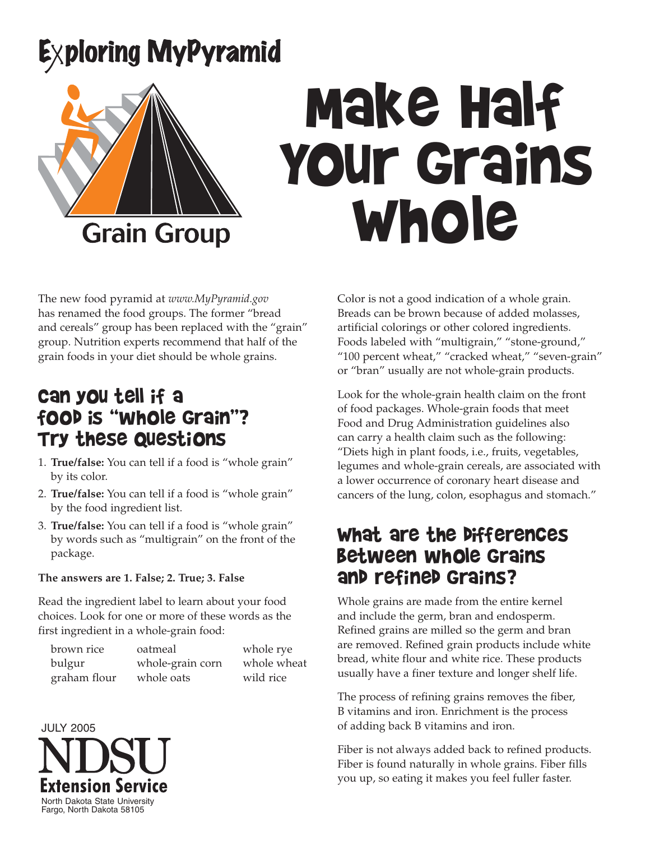## Exploring MyPyramid



# Make Half Your Grains Whole

The new food pyramid at *www.MyPyramid.gov* has renamed the food groups. The former "bread and cereals" group has been replaced with the "grain" group. Nutrition experts recommend that half of the grain foods in your diet should be whole grains.

#### Can you tell if a food is "whole grain"? Try these questions

- 1. **True/false:** You can tell if a food is "whole grain" by its color.
- 2. **True/false:** You can tell if a food is "whole grain" by the food ingredient list.
- 3. **True/false:** You can tell if a food is "whole grain" by words such as "multigrain" on the front of the package.

#### **The answers are 1. False; 2. True; 3. False**

Read the ingredient label to learn about your food choices. Look for one or more of these words as the first ingredient in a whole-grain food:

| brown rice   | oatmeal          | whole rye   |
|--------------|------------------|-------------|
| bulgur       | whole-grain corn | whole wheat |
| graham flour | whole oats       | wild rice   |



Color is not a good indication of a whole grain. Breads can be brown because of added molasses, artificial colorings or other colored ingredients. Foods labeled with "multigrain," "stone-ground," "100 percent wheat," "cracked wheat," "seven-grain" or "bran" usually are not whole-grain products.

Look for the whole-grain health claim on the front of food packages. Whole-grain foods that meet Food and Drug Administration guidelines also can carry a health claim such as the following: "Diets high in plant foods, i.e., fruits, vegetables, legumes and whole-grain cereals, are associated with a lower occurrence of coronary heart disease and cancers of the lung, colon, esophagus and stomach."

#### What are the differences between whole grains and refined grains?

Whole grains are made from the entire kernel and include the germ, bran and endosperm. Refined grains are milled so the germ and bran are removed. Refined grain products include white bread, white flour and white rice. These products usually have a finer texture and longer shelf life.

The process of refining grains removes the fiber, B vitamins and iron. Enrichment is the process of adding back B vitamins and iron.

Fiber is not always added back to refined products. Fiber is found naturally in whole grains. Fiber fills you up, so eating it makes you feel fuller faster.